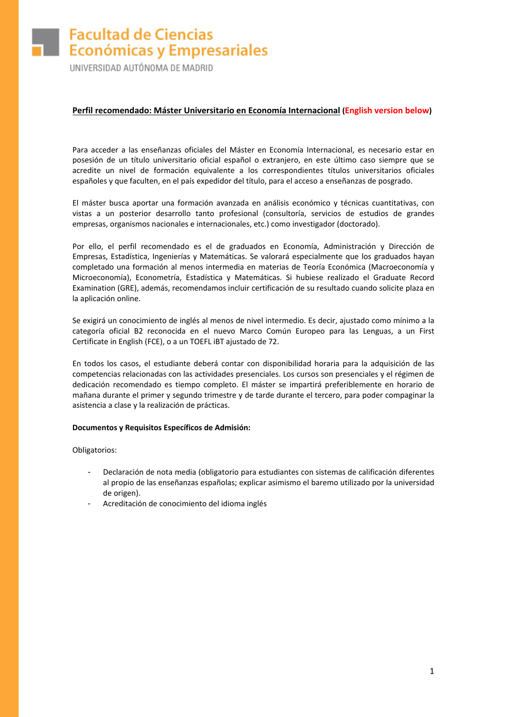# **Facultad de Ciencias Económicas y Empresariales**

UNIVERSIDAD AUTÓNOMA DE MADRID

## **Perfil recomendado: Máster Universitario en Economía Internacional (English version below)**

Para acceder a las enseñanzas oficiales del Máster en Economía Internacional, es necesario estar en posesión de un título universitario oficial español o extranjero, en este último caso siempre que se acredite un nivel de formación equivalente a los correspondientes títulos universitarios oficiales españoles y que faculten, en el país expedidor del título, para el acceso a enseñanzas de posgrado.

El máster busca aportar una formación avanzada en análisis económico y técnicas cuantitativas, con vistas a un posterior desarrollo tanto profesional (consultoría, servicios de estudios de grandes empresas, organismos nacionales e internacionales, etc.) como investigador (doctorado).

Por ello, el perfil recomendado es el de graduados en Economía, Administración y Dirección de Empresas, Estadística, Ingenierías y Matemáticas. Se valorará especialmente que los graduados hayan completado una formación al menos intermedia en materias de Teoría Económica (Macroeconomía y Microeconomía), Econometría, Estadística y Matemáticas. Si hubiese realizado el Graduate Record Examination (GRE), además, recomendamos incluir certificación de su resultado cuando solicite plaza en la aplicación online.

Se exigirá un conocimiento de inglés al menos de nivel intermedio. Es decir, ajustado como mínimo a la categoría oficial B2 reconocida en el nuevo Marco Común Europeo para las Lenguas, a un First Certificate in English (FCE), o a un TOEFL iBT ajustado de 72.

En todos los casos, el estudiante deberá contar con disponibilidad horaria para la adquisición de las competencias relacionadas con las actividades presenciales. Los cursos son presenciales y el régimen de dedicación recomendado es tiempo completo. El máster se impartirá preferiblemente en horario de mañana durante el primer y segundo trimestre y de tarde durante el tercero, para poder compaginar la asistencia a clase y la realización de prácticas.

### **Documentos y Requisitos Específicos de Admisión:**

Obligatorios:

- Declaración de nota media (obligatorio para estudiantes con sistemas de calificación diferentes al propio de las enseñanzas españolas; explicar asimismo el baremo utilizado por la universidad de origen).
- Acreditación de conocimiento del idioma inglés